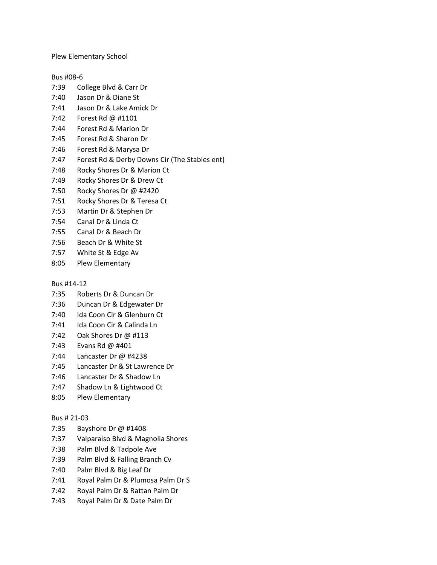Plew Elementary School

### Bus #08-6

- 7:39 College Blvd & Carr Dr
- 7:40 Jason Dr & Diane St
- 7:41 Jason Dr & Lake Amick Dr
- 7:42 Forest Rd @ #1101
- 7:44 Forest Rd & Marion Dr
- 7:45 Forest Rd & Sharon Dr
- 7:46 Forest Rd & Marysa Dr
- 7:47 Forest Rd & Derby Downs Cir (The Stables ent)
- 7:48 Rocky Shores Dr & Marion Ct
- 7:49 Rocky Shores Dr & Drew Ct
- 7:50 Rocky Shores Dr @ #2420
- 7:51 Rocky Shores Dr & Teresa Ct
- 7:53 Martin Dr & Stephen Dr
- 7:54 Canal Dr & Linda Ct
- 7:55 Canal Dr & Beach Dr
- 7:56 Beach Dr & White St
- 7:57 White St & Edge Av
- 8:05 Plew Elementary

#### Bus #14-12

- 7:35 Roberts Dr & Duncan Dr
- 7:36 Duncan Dr & Edgewater Dr
- 7:40 Ida Coon Cir & Glenburn Ct
- 7:41 Ida Coon Cir & Calinda Ln
- 7:42 Oak Shores Dr @ #113
- 7:43 Evans Rd @ #401
- 7:44 Lancaster Dr @ #4238
- 7:45 Lancaster Dr & St Lawrence Dr
- 7:46 Lancaster Dr & Shadow Ln
- 7:47 Shadow Ln & Lightwood Ct
- 8:05 Plew Elementary

#### Bus # 21-03

- 7:35 Bayshore Dr @ #1408
- 7:37 Valparaiso Blvd & Magnolia Shores
- 7:38 Palm Blvd & Tadpole Ave
- 7:39 Palm Blvd & Falling Branch Cv
- 7:40 Palm Blvd & Big Leaf Dr
- 7:41 Royal Palm Dr & Plumosa Palm Dr S
- 7:42 Royal Palm Dr & Rattan Palm Dr
- 7:43 Royal Palm Dr & Date Palm Dr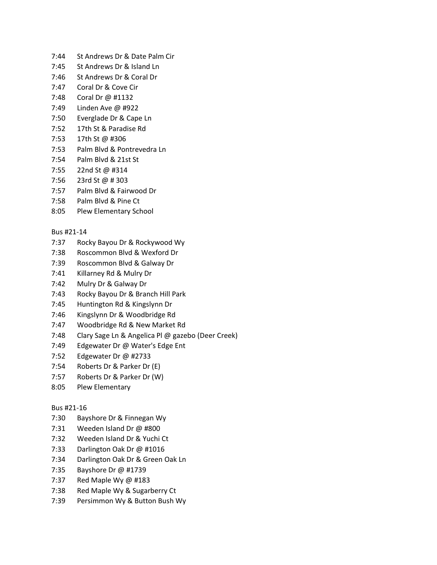- 7:44 St Andrews Dr & Date Palm Cir
- 7:45 St Andrews Dr & Island Ln
- 7:46 St Andrews Dr & Coral Dr
- 7:47 Coral Dr & Cove Cir
- 7:48 Coral Dr @ #1132
- 7:49 Linden Ave @ #922
- 7:50 Everglade Dr & Cape Ln
- 7:52 17th St & Paradise Rd
- 7:53 17th St @ #306
- 7:53 Palm Blvd & Pontrevedra Ln
- 7:54 Palm Blvd & 21st St
- 7:55 22nd St @ #314
- 7:56 23rd St @ # 303
- 7:57 Palm Blvd & Fairwood Dr
- 7:58 Palm Blvd & Pine Ct
- 8:05 Plew Elementary School

# Bus #21-14

- 7:37 Rocky Bayou Dr & Rockywood Wy
- 7:38 Roscommon Blvd & Wexford Dr
- 7:39 Roscommon Blvd & Galway Dr
- 7:41 Killarney Rd & Mulry Dr
- 7:42 Mulry Dr & Galway Dr
- 7:43 Rocky Bayou Dr & Branch Hill Park
- 7:45 Huntington Rd & Kingslynn Dr
- 7:46 Kingslynn Dr & Woodbridge Rd
- 7:47 Woodbridge Rd & New Market Rd
- 7:48 Clary Sage Ln & Angelica Pl @ gazebo (Deer Creek)
- 7:49 Edgewater Dr @ Water's Edge Ent
- 7:52 Edgewater Dr @ #2733
- 7:54 Roberts Dr & Parker Dr (E)
- 7:57 Roberts Dr & Parker Dr (W)
- 8:05 Plew Elementary

# Bus #21-16

- 7:30 Bayshore Dr & Finnegan Wy
- 7:31 Weeden Island Dr @ #800
- 7:32 Weeden Island Dr & Yuchi Ct
- 7:33 Darlington Oak Dr @ #1016
- 7:34 Darlington Oak Dr & Green Oak Ln
- 7:35 Bayshore Dr @ #1739
- 7:37 Red Maple Wy @ #183
- 7:38 Red Maple Wy & Sugarberry Ct
- 7:39 Persimmon Wy & Button Bush Wy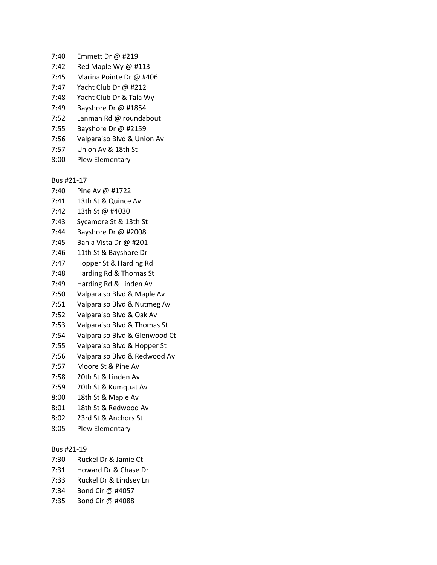- 7:40 Emmett Dr @ #219
- 7:42 Red Maple Wy @ #113
- 7:45 Marina Pointe Dr @ #406
- 7:47 Yacht Club Dr @ #212
- 7:48 Yacht Club Dr & Tala Wy
- 7:49 Bayshore Dr @ #1854
- 7:52 Lanman Rd @ roundabout
- 7:55 Bayshore Dr @ #2159
- 7:56 Valparaiso Blvd & Union Av
- 7:57 Union Av & 18th St
- 8:00 Plew Elementary

Bus #21-17

- 7:40 Pine Av @ #1722
- 7:41 13th St & Quince Av
- 7:42 13th St @ #4030
- 7:43 Sycamore St & 13th St
- 7:44 Bayshore Dr @ #2008
- 7:45 Bahia Vista Dr @ #201
- 7:46 11th St & Bayshore Dr
- 7:47 Hopper St & Harding Rd
- 7:48 Harding Rd & Thomas St
- 7:49 Harding Rd & Linden Av
- 7:50 Valparaiso Blvd & Maple Av
- 7:51 Valparaiso Blvd & Nutmeg Av
- 7:52 Valparaiso Blvd & Oak Av
- 7:53 Valparaiso Blvd & Thomas St
- 7:54 Valparaiso Blvd & Glenwood Ct
- 7:55 Valparaiso Blvd & Hopper St
- 7:56 Valparaiso Blvd & Redwood Av
- 7:57 Moore St & Pine Av
- 7:58 20th St & Linden Av
- 7:59 20th St & Kumquat Av
- 8:00 18th St & Maple Av
- 8:01 18th St & Redwood Av
- 8:02 23rd St & Anchors St
- 8:05 Plew Elementary

### Bus #21-19

- 7:30 Ruckel Dr & Jamie Ct
- 7:31 Howard Dr & Chase Dr
- 7:33 Ruckel Dr & Lindsey Ln
- 7:34 Bond Cir @ #4057
- 7:35 Bond Cir @ #4088